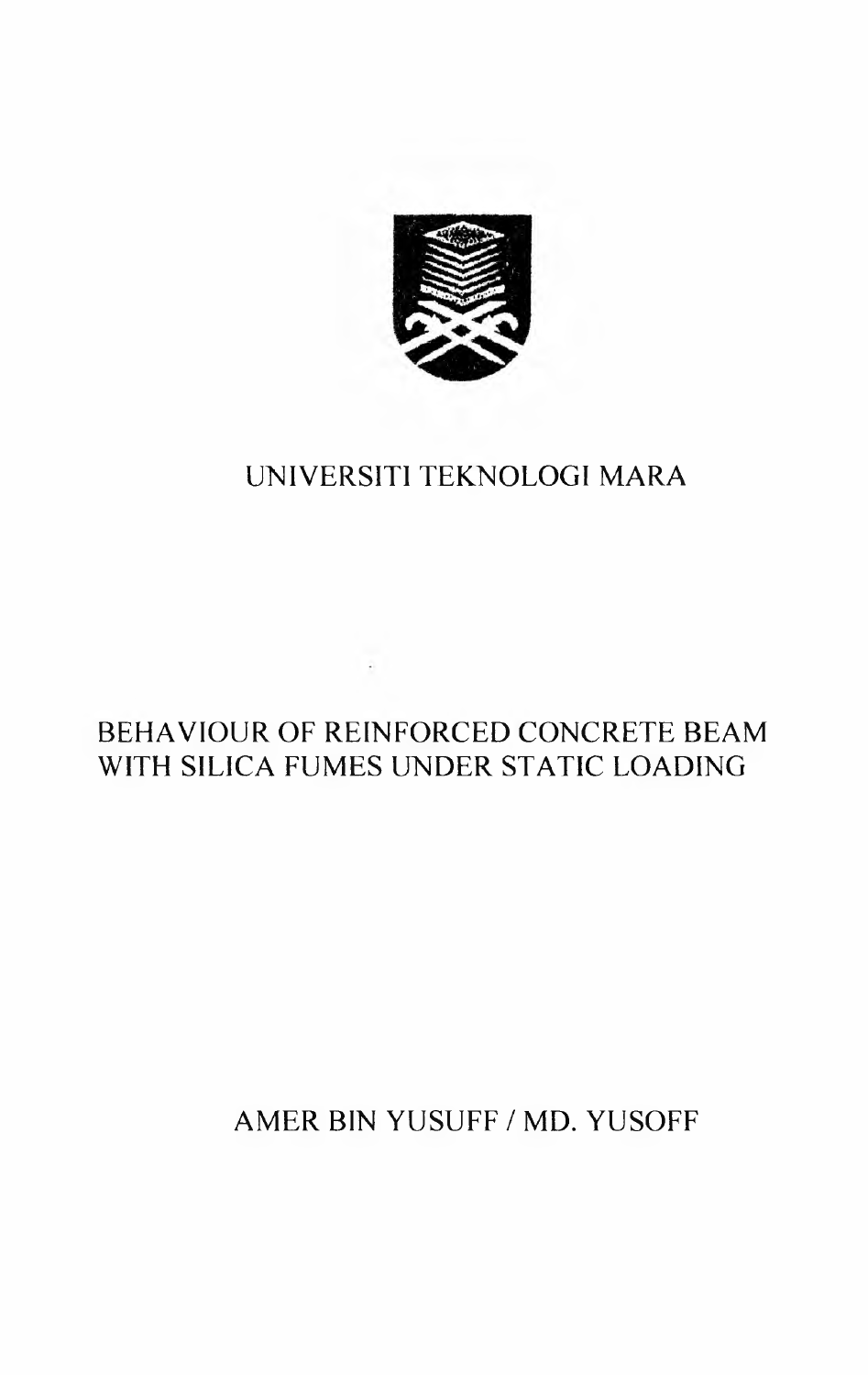

### UNIVERSITI TEKNOLOGI MARA

## BEHAVIOUR OF REINFORCED CONCRETE BEAM WITH SILICA FUMES UNDER STATIC LOADING

# AMER BIN YUSUFF / MD. YUSOFF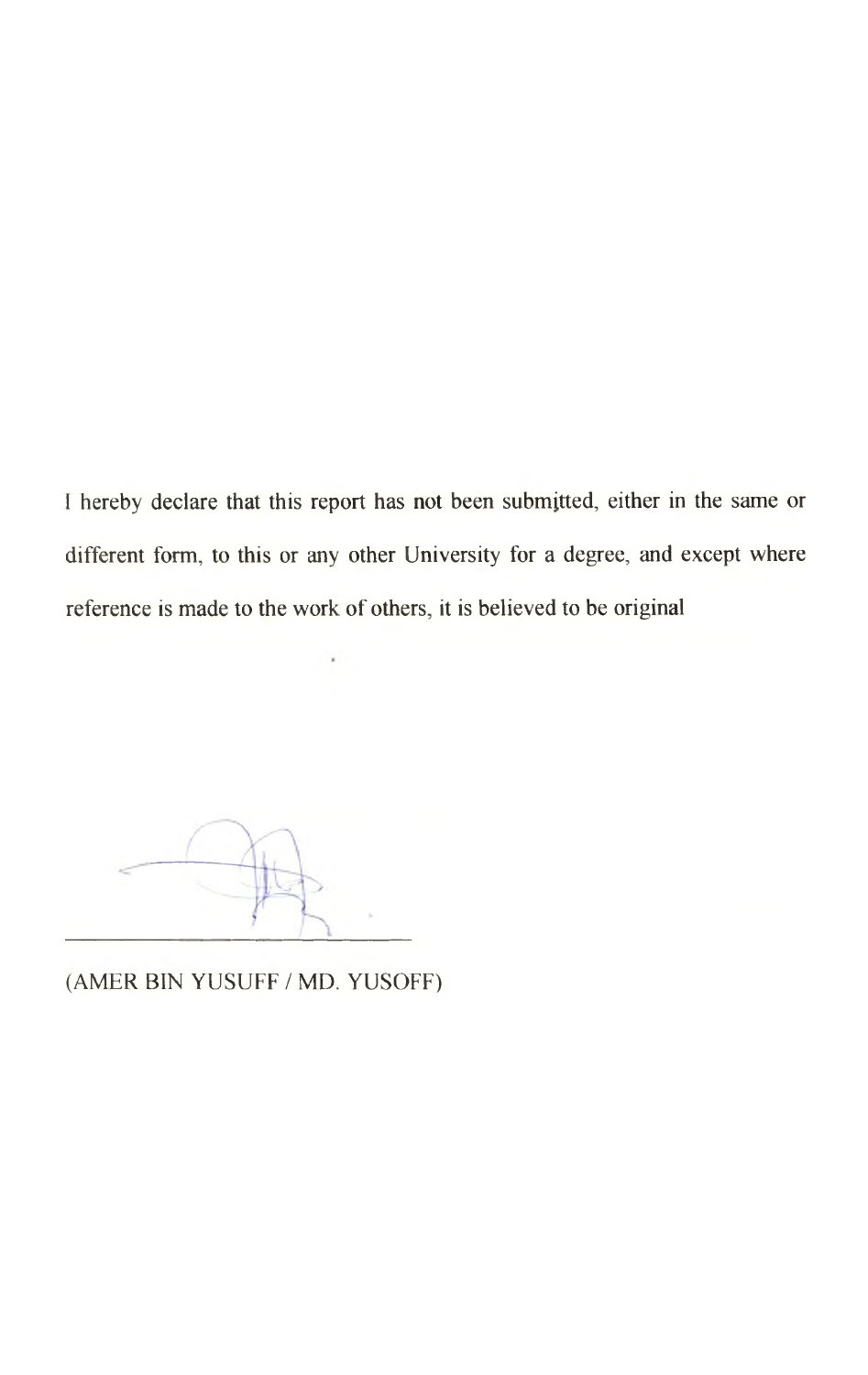I hereby declare that this report has not been submitted, either in the same or different form, to this or any other University for a degree, and except where reference is made to the work of others, it is believed to be original

(AMER BIN YUSUFF / MD. YUSOFF)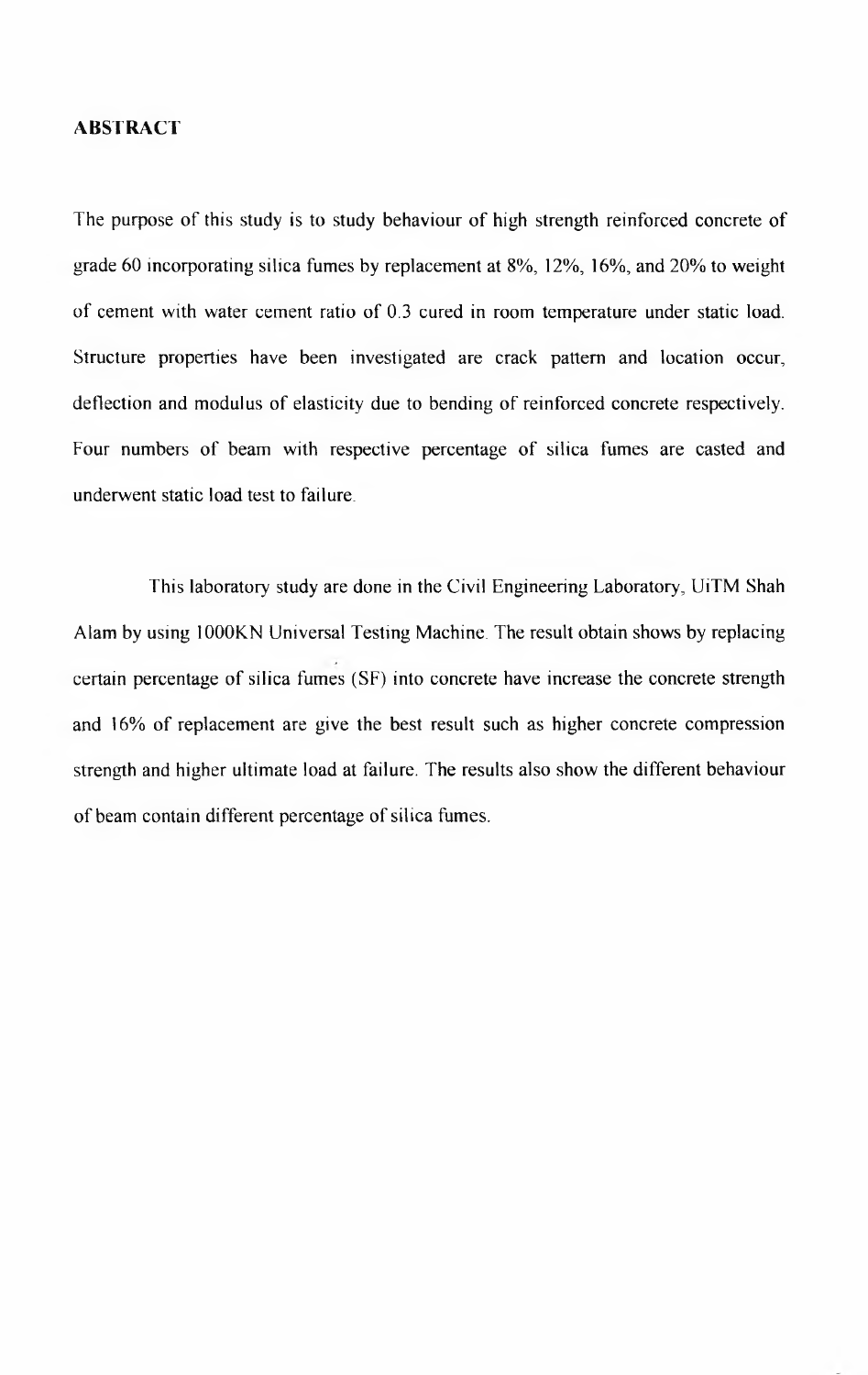#### **ABSTRACT**

The purpose of this study is to study behaviour of high strength reinforced concrete of grade 60 incorporating silica fumes by replacement at 8%, 12%, 16%, and 20% to weight of cement with water cement ratio of 0.3 cured in room temperature under static load. Structure properties have been investigated are crack pattern and location occur, deflection and modulus of elasticity due to bending of reinforced concrete respectively. Four numbers of beam with respective percentage of silica fumes are casted and underwent static load test to failure.

This laboratory study are done in the Civil Engineering Laboratory, UiTM Shah Alam by using 1000KN Universal Testing Machine. The result obtain shows by replacing certain percentage of silica fumes (SF) into concrete have increase the concrete strength and 16% of replacement are give the best result such as higher concrete compression strength and higher ultimate load at failure. The results also show the different behaviour of beam contain different percentage of silica fumes.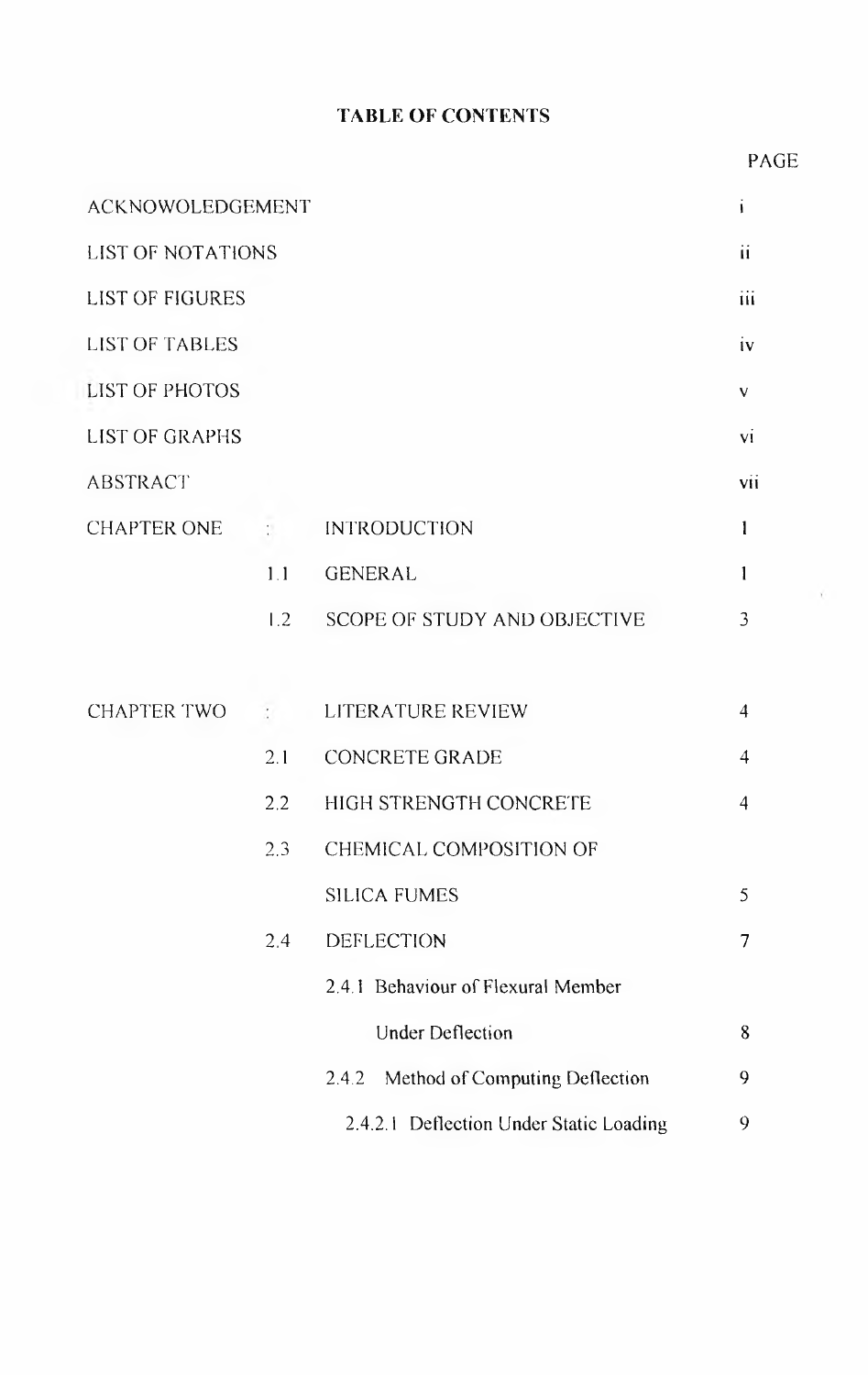### **TABLE OF CONTENTS**

### PAGE

| ACKNOWOLEDGEMENT         |                           |                                         |                |  |  |  |
|--------------------------|---------------------------|-----------------------------------------|----------------|--|--|--|
| <b>LIST OF NOTATIONS</b> |                           |                                         |                |  |  |  |
| <b>LIST OF FIGURES</b>   |                           |                                         |                |  |  |  |
| <b>LIST OF TABLES</b>    |                           |                                         |                |  |  |  |
| <b>LIST OF PHOTOS</b>    |                           |                                         |                |  |  |  |
| <b>LIST OF GRAPHS</b>    |                           |                                         |                |  |  |  |
| <b>ABSTRACT</b>          |                           |                                         | vii            |  |  |  |
| <b>CHAPTER ONE</b>       | $\mathbb{C}^{\mathbb{C}}$ | <b>INTRODUCTION</b>                     | 1              |  |  |  |
|                          | 1.1                       | <b>GENERAL</b>                          | 1              |  |  |  |
|                          | 1.2                       | <b>SCOPE OF STUDY AND OBJECTIVE</b>     | 3              |  |  |  |
|                          |                           |                                         |                |  |  |  |
| <b>CHAPTER TWO</b>       | ÷.                        | LITERATURE REVIEW                       | $\overline{4}$ |  |  |  |
|                          | 2.1                       | <b>CONCRETE GRADE</b>                   | $\overline{4}$ |  |  |  |
|                          | 2.2                       | HIGH STRENGTH CONCRETE                  | $\overline{4}$ |  |  |  |
|                          | 2.3                       | CHEMICAL COMPOSITION OF                 |                |  |  |  |
|                          |                           | <b>SILICA FUMES</b>                     | 5              |  |  |  |
|                          | 2,4                       | <b>DEFLECTION</b>                       | 7              |  |  |  |
|                          |                           | 2.4.1 Behaviour of Flexural Member      |                |  |  |  |
|                          |                           | <b>Under Deflection</b>                 | 8              |  |  |  |
|                          |                           | Method of Computing Deflection<br>2.4.2 | 9              |  |  |  |
|                          |                           | 2.4.2.1 Deflection Under Static Loading | 9              |  |  |  |